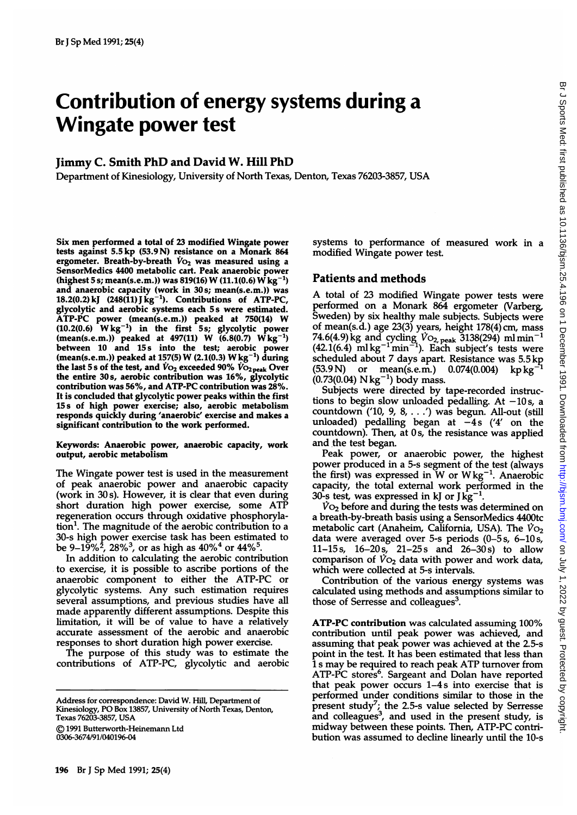# Contribution of energy systems during a Wingate power test

#### Jimmy C. Smith PhD and David W. Hill PhD

Department of Kinesiology, University of North Texas, Denton, Texas 76203-3857, USA

Six men performed a total of 23 modified Wingate power tests against 5.5 kp (53.9 N) resistance on a Monark 864 ergometer. Breath-by-breath  $\dot{V}_{O_2}$  was measured using a SensorMedics 4400 metabolic cart. Peak anaerobic power (highest 5 s; mean(s.e.m.)) was 819(16) W (11.1(0.6)  $\dot{W}$  kg<sup>-1</sup>) and anaerobic capacity (work in 30s; mean(s.e.m.)) was 18.2(0.2) kJ (248(11) J kg<sup>-1</sup>). Contributions of ATP-PC, glycolytic and aerobic systems each 5s were estimated. ATP-PC power (mean(s.e.m.)) peaked at 750(14) W  $(10.2(0.6)$  Wkg<sup>-1</sup>) in the first 5s; glycolytic power  $(\text{mean}(s.e.m.))$  peaked at  $497(11)$  W  $(6.8(0.7)$  Wkg<sup>-1</sup>) between 10 and 15s into the test; aerobic power (mean(s.e.m.)) peaked at 157(5) W (2.1(0.3) Wkg-) during the last 5 s of the test, and  $V_{\text{O}_2}$  exceeded 90%  $\dot{V}_{\text{O}_2}$ <sub>peak</sub> Over the entire 30s, aerobic contribution was 16%, glycolytic contribution was 56%, and ATP-PC contribution was 28%. It is concluded that glycolytic power peaks within the first 15 s of high power exercise; also, aerobic metabolism responds quickly during 'anaerobic' exercise and makes a significant contribution to the work performed.

#### Keywords: Anaerobic power, anaerobic capacity, work output, aerobic metabolism

The Wingate power test is used in the measurement of peak anaerobic power and anaerobic capacity (work in 30 s). However, it is clear that even during short duration high power exercise, some ATP regeneration occurs through oxidative phosphoryla $tion<sup>1</sup>$ . The magnitude of the aerobic contribution to a 30-s high power exercise task has been estimated to be 9–19%<sup>2</sup>, 28%<sup>3</sup>, or as high as 40%<sup>4</sup> or 44%<sup>5</sup>.

In addition to calculating the aerobic contribution to exercise, it is possible to ascribe portions of the anaerobic component to either the ATP-PC or glycolytic systems. Any such estimation requires several assumptions, and previous studies have all made apparently different assumptions. Despite this limitation, it will be of value to have a relatively accurate assessment of the aerobic and anaerobic responses to short duration high power exercise.

The purpose of this study was to estimate the contributions of ATP-PC, glycolytic and aerobic

) 1991 Butterworth-Heinemann Ltd 0306-3674/91/040196-04

196 Br <sup>J</sup> Sp Med 1991; 25(4)

systems to performance of measured work in a modified Wingate power test.

# Patients and methods

A total of <sup>23</sup> modified Wingate power tests were performed on a Monark 864 ergometer (Varberg, Sweden) by six healthy male subjects. Subjects were of mean(s.d.) age 23(3) years, height 178(4) cm, mass 74.6(4.9)kg and cycling  $V_{\text{O}_{2,\text{peak}}}$  3138(294) ml $\, \text{min}^{-1}$  $(42.1(6.4)$  ml kg<sup>-1</sup> min<sup>-1</sup>). Each subject's tests were scheduled about 7 days apart. Resistance was 5.5 kp<br>(53.9 N) or mean(s.e.m.)  $0.074(0.004)$  kp kg<sup>-1</sup> or mean(s.e.m.)  $0.074(0.004)$  kpkg<sup>-</sup>  $(0.73(0.04) \text{ Nkg}^{-1})$  body mass.

Subjects were directed by tape-recorded instructions to begin slow unloaded pedalling. At  $-10s$ , a countdown ('10, 9, 8, . . .') was begun. All-out (still unloaded) pedalling began at  $-4s$  ('4' on the countdown). Then, at Os, the resistance was applied and the test began.

Peak power, or anaerobic power, the highest power produced in a 5-s segment of the test (always the first) was expressed in W or  $Wkg^{-1}$ . Anaerobic capacity, the total external work performed in the 30-s test, was expressed in kJ or  $J \text{ kg}^{-1}$ .

 $\dot{V}$ O<sub>2</sub> before and during the tests was determined on a breath-by-breath basis using a SensorMedics 4400tc metabolic cart (Anaheim, California, USA). The  $\dot{V}_{O_2}$ data were averaged over 5-s periods (0-5s, 6-10 s, 11-15 s, 16-20 s, 21-25 <sup>s</sup> and 26-30 s) to allow comparison of  $V_{\text{O}_2}$  data with power and work data, which were collected at 5-s intervals.

Contribution of the various energy systems was calculated using methods and assumptions similar to those of Serresse and colleagues<sup>3</sup>.

ATP-PC contribution was calculated assuming 100% contribution until peak power was achieved, and assuming that peak power was achieved at the 2.5-s point in the test. It has been estimated that less than <sup>1</sup> <sup>s</sup> may be required to reach peak ATP turnover from ATP-PC stores<sup>6</sup>. Sargeant and Dolan have reported that peak power occurs 1-4s into exercise that is performed under conditions similar to those in the present study'; the 2.5-s value selected by Serresse and colleagues<sup>3</sup>, and used in the present study, is midway between these points. Then, ATP-PC contribution was assumed to decline linearly until the 10-s

Address for correspondence: David W. Hill, Department of Kinesiology, PO Box 13857, University of North Texas, Denton, Texas 76203-3857, USA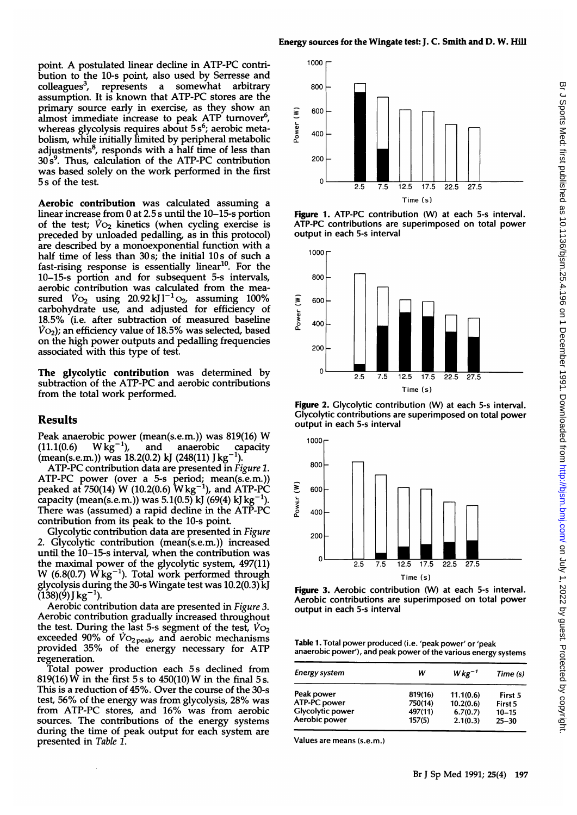point. A postulated linear decline in ATP-PC contribution to the 10-s point, also used by Serresse and colleagues<sup>3</sup>, represents a somewhat arbitrary assumption. It is known that ATP-PC stores are the primary source early in exercise, as they show an almost immediate increase to peak ATP turnover<sup>6</sup>, whereas glycolysis requires about  $5s<sup>6</sup>$ ; aerobic metabolism, while initially limited by peripheral metabolic adjustments $<sup>8</sup>$ , responds with a half time of less than</sup>  $30s<sup>9</sup>$ . Thus, calculation of the ATP-PC contribution was based solely on the work performed in the first 5 s of the test.

Aerobic contribution was calculated assuming a linear increase from 0 at 2.5 s until the 10-15-s portion of the test;  $V_{O_2}$  kinetics (when cycling exercise is preceded by unloaded pedalling, as in this protocol) are described by a monoexponential function with a half time of less than 30s; the initial 10s of such a fast-rising response is essentially linear<sup>10</sup>. For the 10-15-s portion and for subsequent 5-s intervals, aerobic contribution was calculated from the measured  $V_{\text{O}_2}$  using 20.92 kJ  $l^{-1}$   $_{\text{O}_2}$  assuming 100% carbohydrate use, and adjusted for efficiency of 18.5% (i.e. after subtraction of measured baseline  $\dot{V}$ O<sub>2</sub>); an efficiency value of 18.5% was selected, based on the high power outputs and pedalling frequencies associated with this type of test.

The glycolytic contribution was determined by subtraction of the ATP-PC and aerobic contributions from the total work performed.

# Results

Peak anaerobic power (mean(s.e.m.)) was 819(16) W<br>(11.1(0.6) W kg<sup>-1</sup>), and anaerobic capacity anaerobic capacity (mean(s.e.m.)) was 18.2(0.2) kJ (248(11) J kg<sup>-1</sup>).

ATP-PC contribution data are presented in Figure 1. ATP-PC power (over a 5-s period; mean(s.e.m.)) peaked at 750(14) W (10.2(0.6)  $Wkg^{-1}$ ), and ATP-PC capacity (mean(s.e.m.)) was  $5.1(0.5)$  kJ  $(69(4)$  kJ kg<sup>-1</sup> There was (assumed) a rapid decline in the ATP-PC contribution from its peak to the 10-s point.

Glycolytic contribution data are presented in Figure 2. Glycolytic contribution (mean(s.e.m.)) increased until. the 10-15-s interval, when the contribution was the maximal power of the glycolytic system, 497(11) W (6.8(0.7)  $\dot{W}$  kg<sup>-1</sup>). Total work performed through glycolysis during the 30-s Wingate test was 10.2(0.3) kJ  $(138)(9)$  J kg<sup>-1</sup>).

Aerobic contribution data are presented in Figure 3. Aerobic contribution gradually increased throughout the test. During the last 5-s segment of the test,  $\dot{V}_{\text{O}_2}$ exceeded 90% of  $\dot{V}$ O<sub>2 peak</sub>, and aerobic mechanisms provided 35% of the energy necessary for ATP regeneration.

Total power production each 5s declined from 819(16) W in the first 5 s to 450(10) W in the final 5 s. This is a reduction of 45%. Over the course of the 30-s test, 56% of the energy was from glycolysis, 28% was from ATP-PC stores, and 16% was from aerobic sources. The contributions of the energy systems during the time of peak output for each system are presented in Table 1.



Figure 1. ATP-PC contribution (W) at each 5-s interval. ATP-PC contributions are superimposed on total power output in each 5-s interval



Figure 2. Glycolytic contribution (W) at each 5-s interval. Glycolytic contributions are superimposed on total power output in each 5-s interval





Table 1. Total power produced (i.e. 'peak power' or 'peak anaerobic power'), and peak power of the various energy systems

| <b>Energy system</b>    | w       | $Wkg^{-1}$ | Time (s)  |
|-------------------------|---------|------------|-----------|
| Peak power              | 819(16) | 11.1(0.6)  | First 5   |
| ATP-PC power            | 750(14) | 10.2(0.6)  | First 5   |
| <b>Glycolytic power</b> | 497(11) | 6.7(0.7)   | $10 - 15$ |
| Aerobic power           | 157(5)  | 2.1(0.3)   | $25 - 30$ |

Values are means (s.e.m.)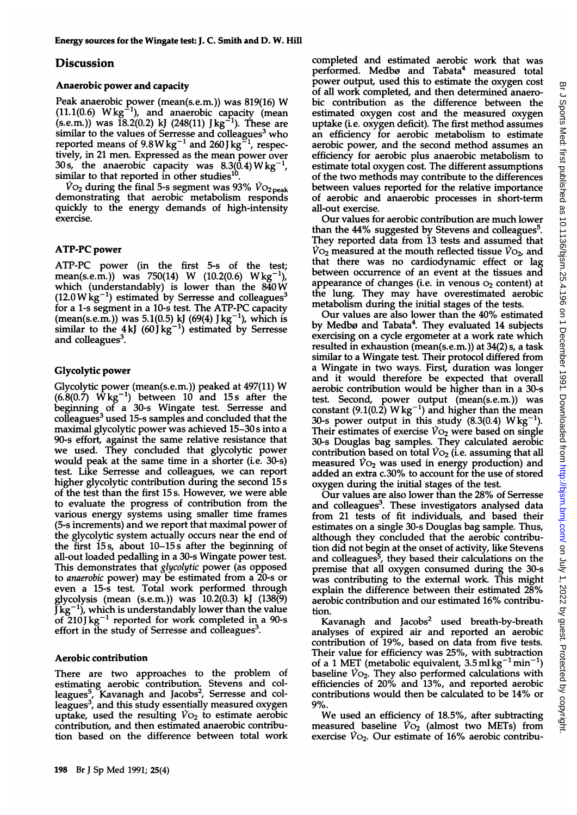# Discussion

# Anaerobic power and capacity

Peak anaerobic power (mean(s.e.m.)) was 819(16) W  $(11.1(0.6) \ Wkg^{-1})$ , and anaerobic capacity (mean (s.e.m.)) was 18.2(0.2) kJ (248(11) Jkg-1). These are similar to the values of Serresse and colleagues<sup>3</sup> who reported means of  $9.8W$ kg<sup>-1</sup> and  $260$ J kg<sup>-1</sup>, respectively, in 21 men. Expressed as the mean power over 30 s, the anaerobic capacity was  $8.3(0.4)$  W kg<sup>-1</sup>, similar to that reported in other studies<sup>10</sup>.

 $\dot{V}$ O<sub>2</sub> during the final 5-s segment was 93%  $\dot{V}$ O<sub>2 peak</sub> demonstrating that aerobic metabolism responds quickly to the energy demands of high-intensity exercise.

# ATP-PC power

ATP-PC power (in the first 5-s of the test; mean(s.e.m.)) was 750(14) W (10.2(0.6) Wkg<sup>-1</sup>), which (understandably) is lower than the 840W  $(12.0 \,\text{W}\,\text{kg}^{-1})$  estimated by Serresse and colleagues<sup>3</sup> for a 1-s segment in a 10-s test. The ATP-PC capacity (mean(s.e.m.)) was 5.1(0.5) kJ (69(4) J kg<sup>-1</sup>), which is similar to the 4kJ (60Jkg<sup>-1</sup>) estimated by Serresse and colleagues<sup>3</sup>.

# Glycolytic power

Glycolytic power (mean(s.e.m.)) peaked at 497(11) W  $(6.8(0.7)$  Wkg<sup>-1</sup>) between 10 and 15s after the beginning of a 30-s Wingate test. Serresse and colleagues<sup>3</sup> used 15-s samples and concluded that the maximal glycolytic power was achieved 15-30 <sup>s</sup> into a 90-s effort, against the same relative resistance that we used. They concluded that glycolytic power would peak at the same time in a shorter (i.e. 30-s) test. Like Serresse and colleagues, we can report higher glycolytic contribution during the second 15 s of the test than the first <sup>15</sup> s. However, we were able to evaluate the progress of contribution from the various energy systems using smaller time frames (5-s increments) and we report that maximal power of the glycolytic system actually occurs near the end of the first 15s, about 10-15 s after the beginning of all-out loaded pedalling in a 30-s Wingate power test. This demonstrates that *glycolytic* power (as opposed to anaerobic power) may be estimated from <sup>a</sup> 20-s or even a 15-s test. Total work performed through glycolysis (mean (s.e.m.)) was 10.2(0.3) kJ (138(9)  $J$  kg<sup>-1</sup>), which is understandably lower than the value of  $210$ J kg<sup>-1</sup> reported for work completed in a 90-s effort in the study of Serresse and colleagues<sup>3</sup>.

#### Aerobic contribution

There are two approaches to the problem of estimating aerobic contribution. Stevens and colleagues<sup>5</sup>, Kavanagh and Jacobs<sup>2</sup>, Serresse and colleagues<sup>3</sup>, and this study essentially measured oxygen uptake, used the resulting  $\dot{V}O_2$  to estimate aerobic contribution, and then estimated anaerobic contribution based on the difference between total work completed and estimated aerobic work that was performed. Medbø and Tabata<sup>4</sup> measured total power output, used this to estimate the oxygen cost of all work completed, and then determined anaerobic contribution as the difference between the estimated oxygen cost and the measured oxygen uptake (i.e. oxygen deficit). The first method assumes an efficiency for aerobic metabolism to estimate aerobic power, and the second method assumes an efficiency for aerobic plus anaerobic metabolism to estimate total oxygen cost. The different assumptions of the two methods may contribute to the differences between values reported for the relative importance of aerobic and anaerobic processes in short-term all-out exercise.

Our values for aerobic contribution are much lower than the 44% suggested by Stevens and colleagues<sup>5</sup>. They reported data from 13 tests and assumed that  $\dot{V}_{\text{O}_2}$  measured at the mouth reflected tissue  $\dot{V}_{\text{O}_2}$ , and that there was no cardiodynamic effect or lag between occurrence of an event at the tissues and appearance of changes (i.e. in venous  $O<sub>2</sub>$  content) at the lung. They may have overestimated aerobic metabolism during the initial stages of the tests.

Our values are also lower than the 40% estimated by Medbø and Tabata<sup>4</sup>. They evaluated 14 subjects exercising on a cycle ergometer at a work rate which resulted in exhaustion (mean(s.e.m.)) at 34(2) s, a task similar to a Wingate test. Their protocol differed from a Wingate in two ways. First, duration was longer and it would therefore be expected that overall aerobic contribution would be higher than in a 30-s test. Second, power output (mean(s.e.m.)) was constant (9.1(0.2)  $Wkg^{-1}$ ) and higher than the mean 30-s power output in this study  $(8.3(0.4) \text{ Wkg}^{-1})$ . Their estimates of exercise  $\dot{V}_{O_2}$  were based on single 30-s Douglas bag samples. They calculated aerobic contribution based on total  $\dot{V}$ O<sub>2</sub> (i.e. assuming that all measured  $\dot{V}$ O<sub>2</sub> was used in energy production) and added an extra c.30% to account for the use of stored oxygen during the initial stages of the test.

Our values are also lower than the 28% of Serresse and colleagues<sup>3</sup>. These investigators analysed data from 21 tests of fit individuals, and based their estimates on a single 30-s Douglas bag sample. Thus, although they concluded that the aerobic contribution did not begin at the onset of activity, like Stevens and colleagues<sup>5</sup>, they based their calculations on the premise that all oxygen consumed during the 30-s was contributing to the external work. This might explain the difference between their estimated 28% aerobic contribution and our estimated 16% contribution.

Kavanagh and Jacobs<sup>2</sup> used breath-by-breath analyses of expired air and reported an aerobic contribution of 19%, based on data from five tests. Their value for efficiency was 25%, with subtraction of a 1 MET (metabolic equivalent,  $3.5$  ml kg<sup>-1</sup> min<sup>-1</sup>) baseline  $V_{\text{O}_2}$ . They also performed calculations with efficiencies of 20% and 13%, and reported aerobic contributions would then be calculated to be 14% or 9%.

We used an efficiency of 18.5%, after subtracting measured baseline  $\overline{V_{O2}}$  (almost two METs) from exercise  $\dot{V}_{\text{O}_2}$ . Our estimate of 16% aerobic contribu